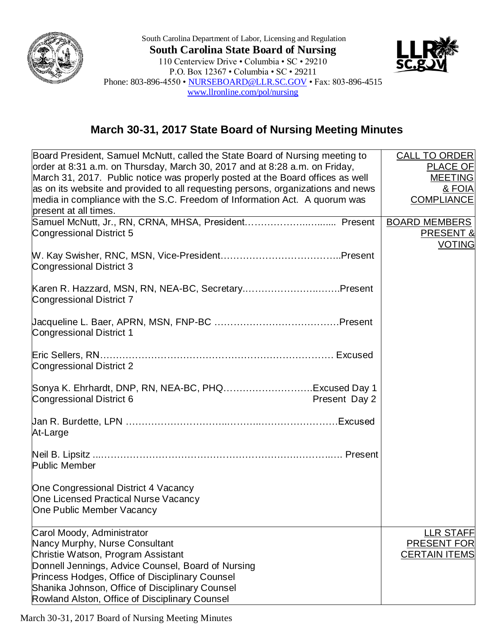

South Carolina Department of Labor, Licensing and Regulation **South Carolina State Board of Nursing** 110 Centerview Drive • Columbia • SC • 29210 P.O. Box 12367 • Columbia • SC • 29211 Phone: 803-896-4550 • [NURSEBOARD@LLR.SC.GOV](mailto:NURSEBOARD@LLR.SC.GOV) • Fax: 803-896-4515 [www.llronline.com/pol/nursing](http://www.llronline.com/pol/nursing)



## **March 30-31, 2017 State Board of Nursing Meeting Minutes**

| Board President, Samuel McNutt, called the State Board of Nursing meeting to     | <b>CALL TO ORDER</b> |
|----------------------------------------------------------------------------------|----------------------|
| order at 8:31 a.m. on Thursday, March 30, 2017 and at 8:28 a.m. on Friday,       | PLACE OF             |
| March 31, 2017. Public notice was properly posted at the Board offices as well   | <b>MEETING</b>       |
| as on its website and provided to all requesting persons, organizations and news | & FOIA               |
| media in compliance with the S.C. Freedom of Information Act. A quorum was       | <b>COMPLIANCE</b>    |
| present at all times.                                                            |                      |
|                                                                                  | <b>BOARD MEMBERS</b> |
| Congressional District 5                                                         | <b>PRESENT &amp;</b> |
|                                                                                  | <b>VOTING</b>        |
|                                                                                  |                      |
| <b>Congressional District 3</b>                                                  |                      |
|                                                                                  |                      |
| Karen R. Hazzard, MSN, RN, NEA-BC, SecretaryPresent                              |                      |
| Congressional District 7                                                         |                      |
|                                                                                  |                      |
|                                                                                  |                      |
| <b>Congressional District 1</b>                                                  |                      |
|                                                                                  |                      |
| Congressional District 2                                                         |                      |
|                                                                                  |                      |
| Sonya K. Ehrhardt, DNP, RN, NEA-BC, PHQExcused Day 1                             |                      |
| Congressional District 6<br>Present Day 2                                        |                      |
|                                                                                  |                      |
|                                                                                  |                      |
| At-Large                                                                         |                      |
|                                                                                  |                      |
|                                                                                  |                      |
| <b>Public Member</b>                                                             |                      |
|                                                                                  |                      |
| One Congressional District 4 Vacancy                                             |                      |
| One Licensed Practical Nurse Vacancy                                             |                      |
| One Public Member Vacancy                                                        |                      |
| Carol Moody, Administrator                                                       | <b>LLR STAFF</b>     |
| Nancy Murphy, Nurse Consultant                                                   | <b>PRESENT FOR</b>   |
| Christie Watson, Program Assistant                                               | <b>CERTAIN ITEMS</b> |
| Donnell Jennings, Advice Counsel, Board of Nursing                               |                      |
| Princess Hodges, Office of Disciplinary Counsel                                  |                      |
| Shanika Johnson, Office of Disciplinary Counsel                                  |                      |
| Rowland Alston, Office of Disciplinary Counsel                                   |                      |

March 30-31, 2017 Board of Nursing Meeting Minutes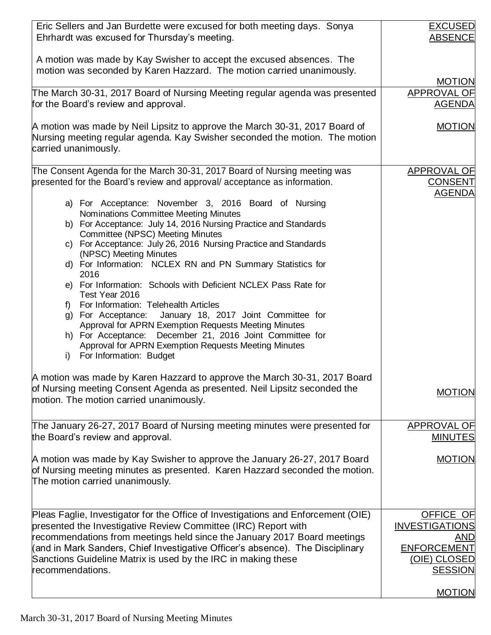| Eric Sellers and Jan Burdette were excused for both meeting days. Sonya<br>Ehrhardt was excused for Thursday's meeting.                                                                                                                                                                                                                                                                                | <b>EXCUSED</b><br><b>ABSENCE</b>                                                                  |
|--------------------------------------------------------------------------------------------------------------------------------------------------------------------------------------------------------------------------------------------------------------------------------------------------------------------------------------------------------------------------------------------------------|---------------------------------------------------------------------------------------------------|
| A motion was made by Kay Swisher to accept the excused absences. The<br>motion was seconded by Karen Hazzard. The motion carried unanimously.                                                                                                                                                                                                                                                          |                                                                                                   |
|                                                                                                                                                                                                                                                                                                                                                                                                        | <b>MOTION</b>                                                                                     |
| The March 30-31, 2017 Board of Nursing Meeting regular agenda was presented<br>for the Board's review and approval.                                                                                                                                                                                                                                                                                    | APPROVAL OF<br><b>AGENDA</b>                                                                      |
| A motion was made by Neil Lipsitz to approve the March 30-31, 2017 Board of<br>Nursing meeting regular agenda. Kay Swisher seconded the motion. The motion<br>carried unanimously.                                                                                                                                                                                                                     | <b>MOTION</b>                                                                                     |
| The Consent Agenda for the March 30-31, 2017 Board of Nursing meeting was<br>presented for the Board's review and approval/acceptance as information.<br>a) For Acceptance: November 3, 2016 Board of Nursing<br>Nominations Committee Meeting Minutes<br>b) For Acceptance: July 14, 2016 Nursing Practice and Standards<br>Committee (NPSC) Meeting Minutes                                          | <b>APPROVAL OF</b><br><b>CONSENT</b><br><b>AGENDA</b>                                             |
| c) For Acceptance: July 26, 2016 Nursing Practice and Standards<br>(NPSC) Meeting Minutes<br>d) For Information: NCLEX RN and PN Summary Statistics for<br>2016<br>e) For Information: Schools with Deficient NCLEX Pass Rate for                                                                                                                                                                      |                                                                                                   |
| Test Year 2016<br>For Information: Telehealth Articles<br>f<br>January 18, 2017 Joint Committee for<br>g) For Acceptance:<br>Approval for APRN Exemption Requests Meeting Minutes<br>h) For Acceptance: December 21, 2016 Joint Committee for<br>Approval for APRN Exemption Requests Meeting Minutes<br>For Information: Budget<br>i)                                                                 |                                                                                                   |
| A motion was made by Karen Hazzard to approve the March 30-31, 2017 Board<br>of Nursing meeting Consent Agenda as presented. Neil Lipsitz seconded the<br>motion. The motion carried unanimously.                                                                                                                                                                                                      | <b>MOTION</b>                                                                                     |
| The January 26-27, 2017 Board of Nursing meeting minutes were presented for<br>the Board's review and approval.                                                                                                                                                                                                                                                                                        | APPROVAL OF<br><b>MINUTES</b>                                                                     |
| A motion was made by Kay Swisher to approve the January 26-27, 2017 Board<br>of Nursing meeting minutes as presented. Karen Hazzard seconded the motion.<br>The motion carried unanimously.                                                                                                                                                                                                            | <b>MOTION</b>                                                                                     |
| Pleas Faglie, Investigator for the Office of Investigations and Enforcement (OIE)<br>presented the Investigative Review Committee (IRC) Report with<br>recommendations from meetings held since the January 2017 Board meetings<br>(and in Mark Sanders, Chief Investigative Officer's absence). The Disciplinary<br>Sanctions Guideline Matrix is used by the IRC in making these<br>recommendations. | OFFICE OF<br><b>INVESTIGATIONS</b><br>AND<br><b>ENFORCEMENT</b><br>(OIE) CLOSED<br><b>SESSION</b> |
|                                                                                                                                                                                                                                                                                                                                                                                                        | <b>MOTION</b>                                                                                     |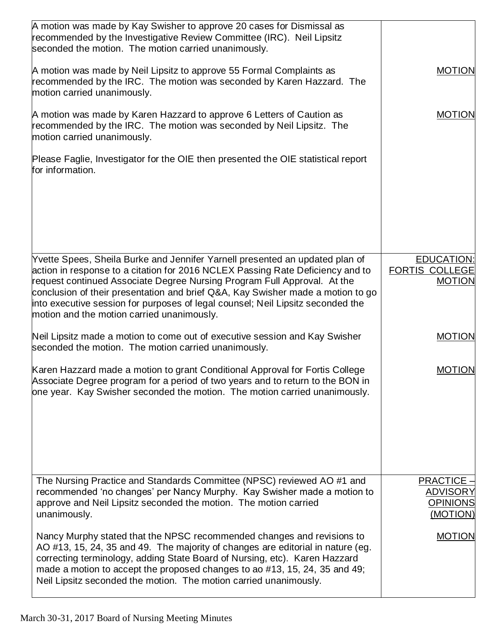| A motion was made by Kay Swisher to approve 20 cases for Dismissal as<br>recommended by the Investigative Review Committee (IRC). Neil Lipsitz<br>seconded the motion. The motion carried unanimously.                                                                                                                                                                                                                                                         |                                                                     |
|----------------------------------------------------------------------------------------------------------------------------------------------------------------------------------------------------------------------------------------------------------------------------------------------------------------------------------------------------------------------------------------------------------------------------------------------------------------|---------------------------------------------------------------------|
| A motion was made by Neil Lipsitz to approve 55 Formal Complaints as<br>recommended by the IRC. The motion was seconded by Karen Hazzard. The<br>motion carried unanimously.                                                                                                                                                                                                                                                                                   | <b>MOTION</b>                                                       |
| A motion was made by Karen Hazzard to approve 6 Letters of Caution as<br>recommended by the IRC. The motion was seconded by Neil Lipsitz. The<br>motion carried unanimously.                                                                                                                                                                                                                                                                                   | <b>MOTION</b>                                                       |
| Please Faglie, Investigator for the OIE then presented the OIE statistical report<br>for information.                                                                                                                                                                                                                                                                                                                                                          |                                                                     |
| Yvette Spees, Sheila Burke and Jennifer Yarnell presented an updated plan of<br>action in response to a citation for 2016 NCLEX Passing Rate Deficiency and to<br>request continued Associate Degree Nursing Program Full Approval. At the<br>conclusion of their presentation and brief Q&A, Kay Swisher made a motion to go<br>into executive session for purposes of legal counsel; Neil Lipsitz seconded the<br>motion and the motion carried unanimously. | <b>EDUCATION:</b><br><b>FORTIS COLLEGE</b><br><b>MOTION</b>         |
| Neil Lipsitz made a motion to come out of executive session and Kay Swisher<br>seconded the motion. The motion carried unanimously.                                                                                                                                                                                                                                                                                                                            | <b>MOTION</b>                                                       |
| Karen Hazzard made a motion to grant Conditional Approval for Fortis College<br>Associate Degree program for a period of two years and to return to the BON in<br>one year. Kay Swisher seconded the motion. The motion carried unanimously.                                                                                                                                                                                                                   | <b>MOTION</b>                                                       |
| The Nursing Practice and Standards Committee (NPSC) reviewed AO #1 and<br>recommended 'no changes' per Nancy Murphy. Kay Swisher made a motion to<br>approve and Neil Lipsitz seconded the motion. The motion carried<br>unanimously.                                                                                                                                                                                                                          | <b>PRACTICE -</b><br><b>ADVISORY</b><br><b>OPINIONS</b><br>(MOTION) |
| Nancy Murphy stated that the NPSC recommended changes and revisions to<br>AO #13, 15, 24, 35 and 49. The majority of changes are editorial in nature (eg.<br>correcting terminology, adding State Board of Nursing, etc). Karen Hazzard<br>made a motion to accept the proposed changes to ao #13, 15, 24, 35 and 49;<br>Neil Lipsitz seconded the motion. The motion carried unanimously.                                                                     | <b>MOTION</b>                                                       |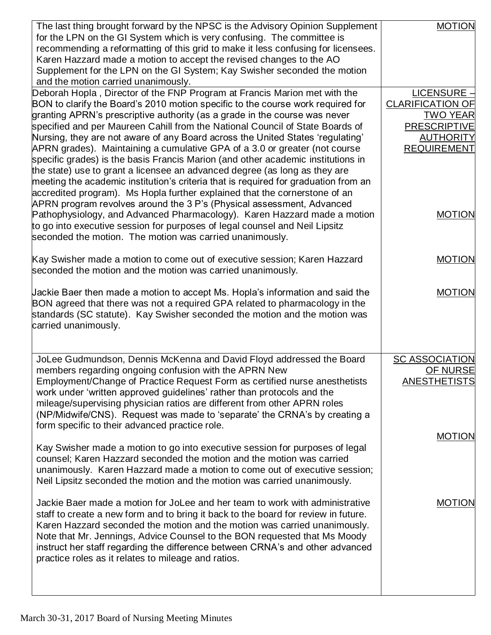| The last thing brought forward by the NPSC is the Advisory Opinion Supplement<br>for the LPN on the GI System which is very confusing. The committee is<br>recommending a reformatting of this grid to make it less confusing for licensees.<br>Karen Hazzard made a motion to accept the revised changes to the AO<br>Supplement for the LPN on the GI System; Kay Swisher seconded the motion<br>and the motion carried unanimously.                                                                                                                                                                                                                                                                                                                                                                                                                                                                                                                                                                                                                                 | <b>MOTION</b>                                                                                                                                 |
|------------------------------------------------------------------------------------------------------------------------------------------------------------------------------------------------------------------------------------------------------------------------------------------------------------------------------------------------------------------------------------------------------------------------------------------------------------------------------------------------------------------------------------------------------------------------------------------------------------------------------------------------------------------------------------------------------------------------------------------------------------------------------------------------------------------------------------------------------------------------------------------------------------------------------------------------------------------------------------------------------------------------------------------------------------------------|-----------------------------------------------------------------------------------------------------------------------------------------------|
| Deborah Hopla, Director of the FNP Program at Francis Marion met with the<br>BON to clarify the Board's 2010 motion specific to the course work required for<br>granting APRN's prescriptive authority (as a grade in the course was never<br>specified and per Maureen Cahill from the National Council of State Boards of<br>Nursing, they are not aware of any Board across the United States 'regulating'<br>APRN grades). Maintaining a cumulative GPA of a 3.0 or greater (not course<br>specific grades) is the basis Francis Marion (and other academic institutions in<br>the state) use to grant a licensee an advanced degree (as long as they are<br>meeting the academic institution's criteria that is required for graduation from an<br>accredited program). Ms Hopla further explained that the cornerstone of an<br>APRN program revolves around the 3 P's (Physical assessment, Advanced<br>Pathophysiology, and Advanced Pharmacology). Karen Hazzard made a motion<br>to go into executive session for purposes of legal counsel and Neil Lipsitz | $LICENSURE -$<br><b>CLARIFICATION OF</b><br><b>TWO YEAR</b><br><b>PRESCRIPTIVE</b><br><b>AUTHORITY</b><br><b>REQUIREMENT</b><br><b>MOTION</b> |
| seconded the motion. The motion was carried unanimously.<br>Kay Swisher made a motion to come out of executive session; Karen Hazzard<br>seconded the motion and the motion was carried unanimously.                                                                                                                                                                                                                                                                                                                                                                                                                                                                                                                                                                                                                                                                                                                                                                                                                                                                   | <b>MOTION</b>                                                                                                                                 |
| Jackie Baer then made a motion to accept Ms. Hopla's information and said the<br>BON agreed that there was not a required GPA related to pharmacology in the<br>standards (SC statute). Kay Swisher seconded the motion and the motion was<br>carried unanimously.                                                                                                                                                                                                                                                                                                                                                                                                                                                                                                                                                                                                                                                                                                                                                                                                     | <b>MOTION</b>                                                                                                                                 |
| JoLee Gudmundson, Dennis McKenna and David Floyd addressed the Board<br>members regarding ongoing confusion with the APRN New<br>Employment/Change of Practice Request Form as certified nurse anesthetists<br>work under 'written approved guidelines' rather than protocols and the<br>mileage/supervising physician ratios are different from other APRN roles<br>(NP/Midwife/CNS). Request was made to 'separate' the CRNA's by creating a<br>form specific to their advanced practice role.                                                                                                                                                                                                                                                                                                                                                                                                                                                                                                                                                                       | <b>SC ASSOCIATION</b><br><b>OF NURSE</b><br><b>ANESTHETISTS</b>                                                                               |
| Kay Swisher made a motion to go into executive session for purposes of legal<br>counsel; Karen Hazzard seconded the motion and the motion was carried<br>unanimously. Karen Hazzard made a motion to come out of executive session;<br>Neil Lipsitz seconded the motion and the motion was carried unanimously.                                                                                                                                                                                                                                                                                                                                                                                                                                                                                                                                                                                                                                                                                                                                                        | <b>MOTION</b>                                                                                                                                 |
| Jackie Baer made a motion for JoLee and her team to work with administrative<br>staff to create a new form and to bring it back to the board for review in future.<br>Karen Hazzard seconded the motion and the motion was carried unanimously.<br>Note that Mr. Jennings, Advice Counsel to the BON requested that Ms Moody<br>instruct her staff regarding the difference between CRNA's and other advanced<br>practice roles as it relates to mileage and ratios.                                                                                                                                                                                                                                                                                                                                                                                                                                                                                                                                                                                                   | <b>MOTION</b>                                                                                                                                 |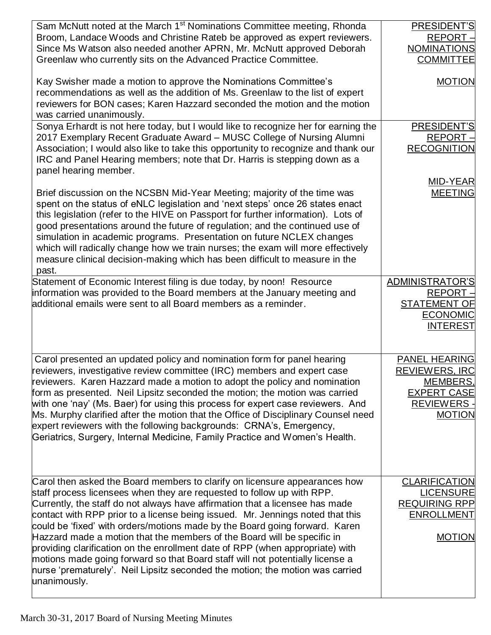| Sam McNutt noted at the March 1 <sup>st</sup> Nominations Committee meeting, Rhonda<br>Broom, Landace Woods and Christine Rateb be approved as expert reviewers.<br>Since Ms Watson also needed another APRN, Mr. McNutt approved Deborah<br>Greenlaw who currently sits on the Advanced Practice Committee.                                                                                                                                                                                                                                                                                                                                                                                                                                        | PRESIDENT'S<br>REPORT -<br><b>NOMINATIONS</b><br><b>COMMITTEE</b>                                                     |
|-----------------------------------------------------------------------------------------------------------------------------------------------------------------------------------------------------------------------------------------------------------------------------------------------------------------------------------------------------------------------------------------------------------------------------------------------------------------------------------------------------------------------------------------------------------------------------------------------------------------------------------------------------------------------------------------------------------------------------------------------------|-----------------------------------------------------------------------------------------------------------------------|
| Kay Swisher made a motion to approve the Nominations Committee's<br>recommendations as well as the addition of Ms. Greenlaw to the list of expert<br>reviewers for BON cases; Karen Hazzard seconded the motion and the motion<br>was carried unanimously.                                                                                                                                                                                                                                                                                                                                                                                                                                                                                          | <b>MOTION</b>                                                                                                         |
| Sonya Erhardt is not here today, but I would like to recognize her for earning the<br>2017 Exemplary Recent Graduate Award - MUSC College of Nursing Alumni<br>Association; I would also like to take this opportunity to recognize and thank our<br>IRC and Panel Hearing members; note that Dr. Harris is stepping down as a<br>panel hearing member.                                                                                                                                                                                                                                                                                                                                                                                             | PRESIDENT'S<br>REPORT -<br><b>RECOGNITION</b>                                                                         |
| Brief discussion on the NCSBN Mid-Year Meeting; majority of the time was<br>spent on the status of eNLC legislation and 'next steps' once 26 states enact<br>this legislation (refer to the HIVE on Passport for further information). Lots of<br>good presentations around the future of regulation; and the continued use of<br>simulation in academic programs. Presentation on future NCLEX changes<br>which will radically change how we train nurses; the exam will more effectively<br>measure clinical decision-making which has been difficult to measure in the<br>past.                                                                                                                                                                  | MID-YEAR<br><b>MEETING</b>                                                                                            |
| Statement of Economic Interest filing is due today, by noon! Resource<br>information was provided to the Board members at the January meeting and<br>additional emails were sent to all Board members as a reminder.                                                                                                                                                                                                                                                                                                                                                                                                                                                                                                                                | <b>ADMINISTRATOR'S</b><br><b>REPORT</b><br><b>STATEMENT OF</b><br><b>ECONOMIC</b><br><b>INTEREST</b>                  |
| Carol presented an updated policy and nomination form for panel hearing<br>reviewers, investigative review committee (IRC) members and expert case<br>reviewers. Karen Hazzard made a motion to adopt the policy and nomination<br>form as presented. Neil Lipsitz seconded the motion; the motion was carried<br>with one 'nay' (Ms. Baer) for using this process for expert case reviewers. And<br>Ms. Murphy clarified after the motion that the Office of Disciplinary Counsel need<br>expert reviewers with the following backgrounds: CRNA's, Emergency,<br>Geriatrics, Surgery, Internal Medicine, Family Practice and Women's Health.                                                                                                       | <b>PANEL HEARING</b><br><b>REVIEWERS, IRC</b><br>MEMBERS,<br><b>EXPERT CASE</b><br><b>REVIEWERS-</b><br><b>MOTION</b> |
| Carol then asked the Board members to clarify on licensure appearances how<br>staff process licensees when they are requested to follow up with RPP.<br>Currently, the staff do not always have affirmation that a licensee has made<br>contact with RPP prior to a license being issued. Mr. Jennings noted that this<br>could be 'fixed' with orders/motions made by the Board going forward. Karen<br>Hazzard made a motion that the members of the Board will be specific in<br>providing clarification on the enrollment date of RPP (when appropriate) with<br>motions made going forward so that Board staff will not potentially license a<br>hurse 'prematurely'. Neil Lipsitz seconded the motion; the motion was carried<br>unanimously. | <b>CLARIFICATION</b><br><b>LICENSURE</b><br><b>REQUIRING RPP</b><br><b>ENROLLMENT</b><br><b>MOTION</b>                |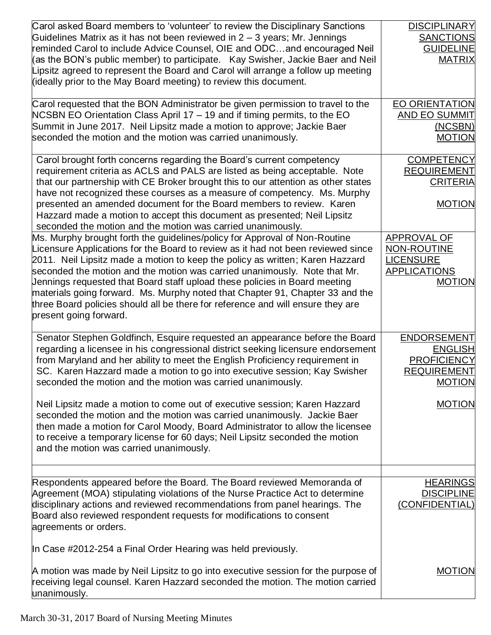| Carol asked Board members to 'volunteer' to review the Disciplinary Sanctions<br>Guidelines Matrix as it has not been reviewed in $2 - 3$ years; Mr. Jennings<br>reminded Carol to include Advice Counsel, OIE and ODCand encouraged Neil<br>(as the BON's public member) to participate. Kay Swisher, Jackie Baer and Neil<br>Lipsitz agreed to represent the Board and Carol will arrange a follow up meeting<br>(ideally prior to the May Board meeting) to review this document.                                                                                                                                                                                                                                                                                                                                                                                                                                                                                                                                                                                                                                                                | <b>DISCIPLINARY</b><br><b>SANCTIONS</b><br><b>GUIDELINE</b><br><b>MATRIX</b>                                                                                                 |
|-----------------------------------------------------------------------------------------------------------------------------------------------------------------------------------------------------------------------------------------------------------------------------------------------------------------------------------------------------------------------------------------------------------------------------------------------------------------------------------------------------------------------------------------------------------------------------------------------------------------------------------------------------------------------------------------------------------------------------------------------------------------------------------------------------------------------------------------------------------------------------------------------------------------------------------------------------------------------------------------------------------------------------------------------------------------------------------------------------------------------------------------------------|------------------------------------------------------------------------------------------------------------------------------------------------------------------------------|
| Carol requested that the BON Administrator be given permission to travel to the<br>NCSBN EO Orientation Class April 17 - 19 and if timing permits, to the EO<br>Summit in June 2017. Neil Lipsitz made a motion to approve; Jackie Baer<br>seconded the motion and the motion was carried unanimously.                                                                                                                                                                                                                                                                                                                                                                                                                                                                                                                                                                                                                                                                                                                                                                                                                                              | <b>EO ORIENTATION</b><br><b>AND EO SUMMIT</b><br>(NCSBN)<br><b>MOTION</b>                                                                                                    |
| Carol brought forth concerns regarding the Board's current competency<br>requirement criteria as ACLS and PALS are listed as being acceptable. Note<br>that our partnership with CE Broker brought this to our attention as other states<br>have not recognized these courses as a measure of competency. Ms. Murphy<br>presented an amended document for the Board members to review. Karen<br>Hazzard made a motion to accept this document as presented; Neil Lipsitz<br>seconded the motion and the motion was carried unanimously.<br>Ms. Murphy brought forth the guidelines/policy for Approval of Non-Routine<br>Licensure Applications for the Board to review as it had not been reviewed since<br>2011. Neil Lipsitz made a motion to keep the policy as written; Karen Hazzard<br>seconded the motion and the motion was carried unanimously. Note that Mr.<br>Jennings requested that Board staff upload these policies in Board meeting<br>materials going forward. Ms. Murphy noted that Chapter 91, Chapter 33 and the<br>three Board policies should all be there for reference and will ensure they are<br>present going forward. | <b>COMPETENCY</b><br><b>REQUIREMENT</b><br><b>CRITERIA</b><br><b>MOTION</b><br><b>APPROVAL OF</b><br>NON-ROUTINE<br><b>LICENSURE</b><br><b>APPLICATIONS</b><br><b>MOTION</b> |
| Senator Stephen Goldfinch, Esquire requested an appearance before the Board<br>regarding a licensee in his congressional district seeking licensure endorsement<br>from Maryland and her ability to meet the English Proficiency requirement in<br>SC. Karen Hazzard made a motion to go into executive session; Kay Swisher<br>seconded the motion and the motion was carried unanimously.                                                                                                                                                                                                                                                                                                                                                                                                                                                                                                                                                                                                                                                                                                                                                         | ENDORSEMENT<br><b>ENGLISH</b><br><b>PROFICIENCY</b><br><b>REQUIREMENT</b><br><b>MOTION</b>                                                                                   |
| Neil Lipsitz made a motion to come out of executive session; Karen Hazzard<br>seconded the motion and the motion was carried unanimously. Jackie Baer<br>then made a motion for Carol Moody, Board Administrator to allow the licensee<br>to receive a temporary license for 60 days; Neil Lipsitz seconded the motion<br>and the motion was carried unanimously.                                                                                                                                                                                                                                                                                                                                                                                                                                                                                                                                                                                                                                                                                                                                                                                   | <b>MOTION</b>                                                                                                                                                                |
| Respondents appeared before the Board. The Board reviewed Memoranda of<br>Agreement (MOA) stipulating violations of the Nurse Practice Act to determine<br>disciplinary actions and reviewed recommendations from panel hearings. The<br>Board also reviewed respondent requests for modifications to consent<br>agreements or orders.                                                                                                                                                                                                                                                                                                                                                                                                                                                                                                                                                                                                                                                                                                                                                                                                              | <b>HEARINGS</b><br><b>DISCIPLINE</b><br>(CONFIDENTIAL)                                                                                                                       |
| In Case #2012-254 a Final Order Hearing was held previously.<br>A motion was made by Neil Lipsitz to go into executive session for the purpose of<br>receiving legal counsel. Karen Hazzard seconded the motion. The motion carried<br>unanimously.                                                                                                                                                                                                                                                                                                                                                                                                                                                                                                                                                                                                                                                                                                                                                                                                                                                                                                 | <b>MOTION</b>                                                                                                                                                                |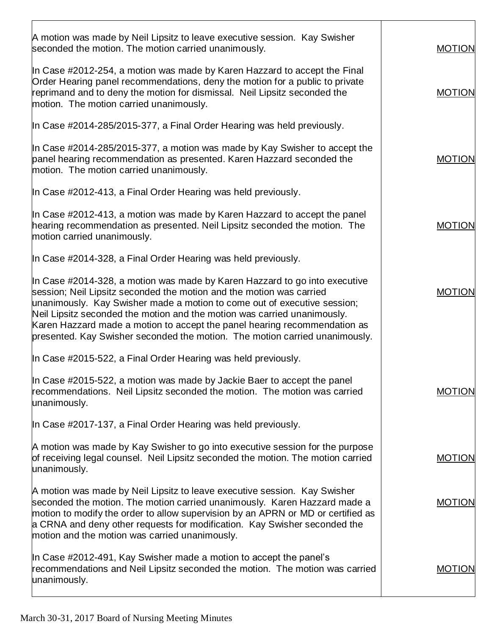| In Case #2012-491, Kay Swisher made a motion to accept the panel's<br>recommendations and Neil Lipsitz seconded the motion. The motion was carried<br>unanimously.                                                                                                                                                                                                                       | <b>MOTION</b> |
|------------------------------------------------------------------------------------------------------------------------------------------------------------------------------------------------------------------------------------------------------------------------------------------------------------------------------------------------------------------------------------------|---------------|
| A motion was made by Neil Lipsitz to leave executive session. Kay Swisher<br>seconded the motion. The motion carried unanimously. Karen Hazzard made a<br>motion to modify the order to allow supervision by an APRN or MD or certified as<br>a CRNA and deny other requests for modification. Kay Swisher seconded the<br>motion and the motion was carried unanimously.                | <b>MOTION</b> |
| A motion was made by Kay Swisher to go into executive session for the purpose<br>of receiving legal counsel. Neil Lipsitz seconded the motion. The motion carried<br>unanimously.                                                                                                                                                                                                        | <b>MOTION</b> |
| In Case #2017-137, a Final Order Hearing was held previously.                                                                                                                                                                                                                                                                                                                            |               |
| In Case #2015-522, a Final Order Hearing was held previously.<br>In Case #2015-522, a motion was made by Jackie Baer to accept the panel<br>recommendations. Neil Lipsitz seconded the motion. The motion was carried<br>unanimously.                                                                                                                                                    | <b>MOTION</b> |
| session; Neil Lipsitz seconded the motion and the motion was carried<br>unanimously. Kay Swisher made a motion to come out of executive session;<br>Neil Lipsitz seconded the motion and the motion was carried unanimously.<br>Karen Hazzard made a motion to accept the panel hearing recommendation as<br>presented. Kay Swisher seconded the motion. The motion carried unanimously. | <b>MOTION</b> |
| In Case #2014-328, a Final Order Hearing was held previously.<br>In Case #2014-328, a motion was made by Karen Hazzard to go into executive                                                                                                                                                                                                                                              |               |
| In Case #2012-413, a motion was made by Karen Hazzard to accept the panel<br>hearing recommendation as presented. Neil Lipsitz seconded the motion. The<br>motion carried unanimously.                                                                                                                                                                                                   | <b>MOTION</b> |
| In Case #2012-413, a Final Order Hearing was held previously.                                                                                                                                                                                                                                                                                                                            |               |
| In Case #2014-285/2015-377, a motion was made by Kay Swisher to accept the<br>panel hearing recommendation as presented. Karen Hazzard seconded the<br>motion. The motion carried unanimously.                                                                                                                                                                                           | <b>MOTION</b> |
| In Case #2014-285/2015-377, a Final Order Hearing was held previously.                                                                                                                                                                                                                                                                                                                   |               |
| In Case #2012-254, a motion was made by Karen Hazzard to accept the Final<br>Order Hearing panel recommendations, deny the motion for a public to private<br>reprimand and to deny the motion for dismissal. Neil Lipsitz seconded the<br>motion. The motion carried unanimously.                                                                                                        | <b>MOTION</b> |
| A motion was made by Neil Lipsitz to leave executive session. Kay Swisher<br>seconded the motion. The motion carried unanimously.                                                                                                                                                                                                                                                        | <b>MOTION</b> |
|                                                                                                                                                                                                                                                                                                                                                                                          |               |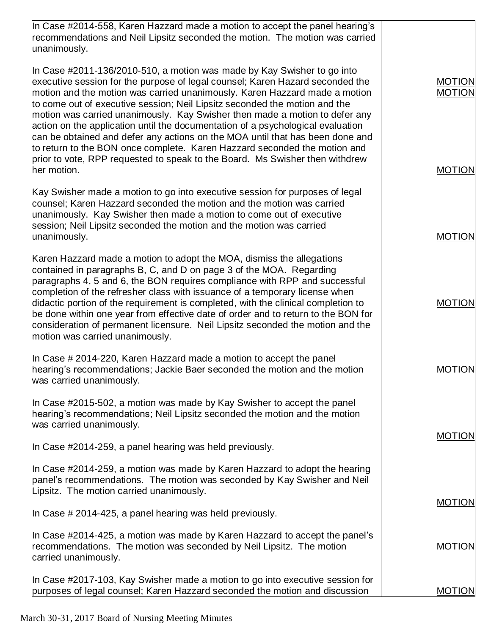| In Case #2014-558, Karen Hazzard made a motion to accept the panel hearing's<br>recommendations and Neil Lipsitz seconded the motion. The motion was carried<br>unanimously.                                                                                                                                                                                                                                                                                                                                                                                                                                                                                                                                                                        |                                                 |
|-----------------------------------------------------------------------------------------------------------------------------------------------------------------------------------------------------------------------------------------------------------------------------------------------------------------------------------------------------------------------------------------------------------------------------------------------------------------------------------------------------------------------------------------------------------------------------------------------------------------------------------------------------------------------------------------------------------------------------------------------------|-------------------------------------------------|
| In Case #2011-136/2010-510, a motion was made by Kay Swisher to go into<br>executive session for the purpose of legal counsel; Karen Hazard seconded the<br>motion and the motion was carried unanimously. Karen Hazzard made a motion<br>to come out of executive session; Neil Lipsitz seconded the motion and the<br>motion was carried unanimously. Kay Swisher then made a motion to defer any<br>action on the application until the documentation of a psychological evaluation<br>can be obtained and defer any actions on the MOA until that has been done and<br>to return to the BON once complete. Karen Hazzard seconded the motion and<br>prior to vote, RPP requested to speak to the Board. Ms Swisher then withdrew<br>her motion. | <b>MOTION</b><br><b>MOTION</b><br><b>MOTION</b> |
|                                                                                                                                                                                                                                                                                                                                                                                                                                                                                                                                                                                                                                                                                                                                                     |                                                 |
| Kay Swisher made a motion to go into executive session for purposes of legal<br>counsel; Karen Hazzard seconded the motion and the motion was carried<br>unanimously. Kay Swisher then made a motion to come out of executive<br>session; Neil Lipsitz seconded the motion and the motion was carried<br>unanimously.                                                                                                                                                                                                                                                                                                                                                                                                                               | <b>MOTION</b>                                   |
| Karen Hazzard made a motion to adopt the MOA, dismiss the allegations<br>contained in paragraphs B, C, and D on page 3 of the MOA. Regarding<br>paragraphs 4, 5 and 6, the BON requires compliance with RPP and successful<br>completion of the refresher class with issuance of a temporary license when<br>didactic portion of the requirement is completed, with the clinical completion to<br>be done within one year from effective date of order and to return to the BON for<br>consideration of permanent licensure. Neil Lipsitz seconded the motion and the<br>motion was carried unanimously.                                                                                                                                            | <b>MOTION</b>                                   |
| In Case # 2014-220, Karen Hazzard made a motion to accept the panel<br>hearing's recommendations; Jackie Baer seconded the motion and the motion<br>was carried unanimously.                                                                                                                                                                                                                                                                                                                                                                                                                                                                                                                                                                        | <b>MOTION</b>                                   |
| In Case #2015-502, a motion was made by Kay Swisher to accept the panel<br>hearing's recommendations; Neil Lipsitz seconded the motion and the motion<br>was carried unanimously.<br>In Case #2014-259, a panel hearing was held previously.<br>In Case #2014-259, a motion was made by Karen Hazzard to adopt the hearing                                                                                                                                                                                                                                                                                                                                                                                                                          | <b>MOTION</b>                                   |
| panel's recommendations. The motion was seconded by Kay Swisher and Neil<br>Lipsitz. The motion carried unanimously.                                                                                                                                                                                                                                                                                                                                                                                                                                                                                                                                                                                                                                | <b>MOTION</b>                                   |
| In Case # 2014-425, a panel hearing was held previously.                                                                                                                                                                                                                                                                                                                                                                                                                                                                                                                                                                                                                                                                                            |                                                 |
| In Case #2014-425, a motion was made by Karen Hazzard to accept the panel's<br>recommendations. The motion was seconded by Neil Lipsitz. The motion<br>carried unanimously.                                                                                                                                                                                                                                                                                                                                                                                                                                                                                                                                                                         | <b>MOTION</b>                                   |
| In Case #2017-103, Kay Swisher made a motion to go into executive session for<br>purposes of legal counsel; Karen Hazzard seconded the motion and discussion                                                                                                                                                                                                                                                                                                                                                                                                                                                                                                                                                                                        | <b>MOTION</b>                                   |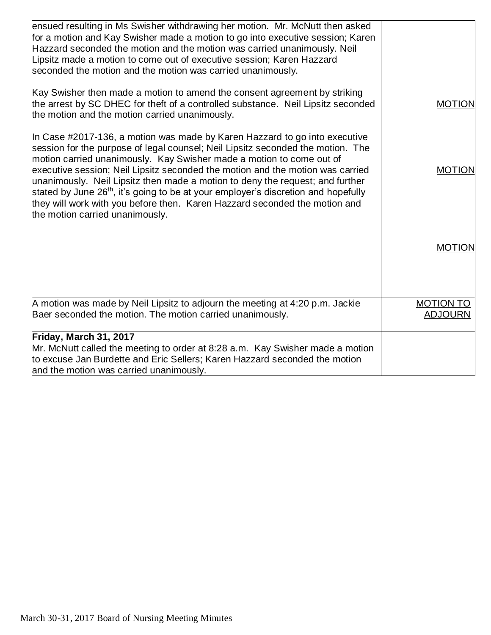| ensued resulting in Ms Swisher withdrawing her motion. Mr. McNutt then asked<br>for a motion and Kay Swisher made a motion to go into executive session; Karen<br>Hazzard seconded the motion and the motion was carried unanimously. Neil<br>Lipsitz made a motion to come out of executive session; Karen Hazzard<br>seconded the motion and the motion was carried unanimously.                                                                                                                                                                                                                                          |                                    |
|-----------------------------------------------------------------------------------------------------------------------------------------------------------------------------------------------------------------------------------------------------------------------------------------------------------------------------------------------------------------------------------------------------------------------------------------------------------------------------------------------------------------------------------------------------------------------------------------------------------------------------|------------------------------------|
| Kay Swisher then made a motion to amend the consent agreement by striking<br>the arrest by SC DHEC for theft of a controlled substance. Neil Lipsitz seconded<br>the motion and the motion carried unanimously.                                                                                                                                                                                                                                                                                                                                                                                                             | <b>MOTION</b>                      |
| In Case #2017-136, a motion was made by Karen Hazzard to go into executive<br>session for the purpose of legal counsel; Neil Lipsitz seconded the motion. The<br>motion carried unanimously. Kay Swisher made a motion to come out of<br>executive session; Neil Lipsitz seconded the motion and the motion was carried<br>unanimously. Neil Lipsitz then made a motion to deny the request; and further<br>stated by June 26 <sup>th</sup> , it's going to be at your employer's discretion and hopefully<br>they will work with you before then. Karen Hazzard seconded the motion and<br>the motion carried unanimously. | <b>MOTION</b>                      |
|                                                                                                                                                                                                                                                                                                                                                                                                                                                                                                                                                                                                                             | <b>MOTION</b>                      |
| A motion was made by Neil Lipsitz to adjourn the meeting at 4:20 p.m. Jackie<br>Baer seconded the motion. The motion carried unanimously.                                                                                                                                                                                                                                                                                                                                                                                                                                                                                   | <b>MOTION TO</b><br><b>ADJOURN</b> |
| Friday, March 31, 2017<br>Mr. McNutt called the meeting to order at 8:28 a.m. Kay Swisher made a motion<br>to excuse Jan Burdette and Eric Sellers; Karen Hazzard seconded the motion<br>and the motion was carried unanimously.                                                                                                                                                                                                                                                                                                                                                                                            |                                    |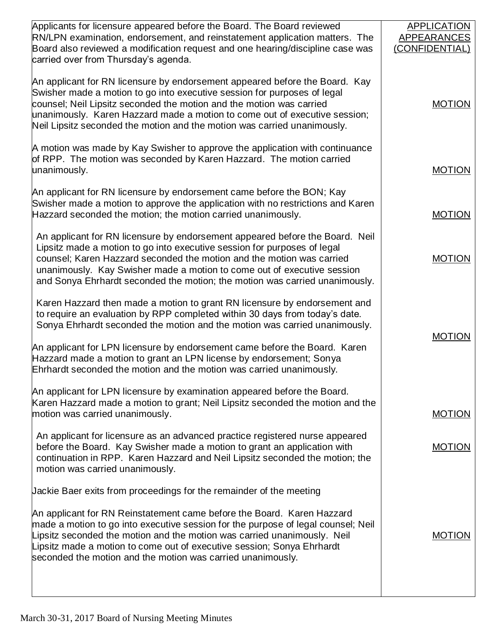| Applicants for licensure appeared before the Board. The Board reviewed<br>RN/LPN examination, endorsement, and reinstatement application matters. The<br>Board also reviewed a modification request and one hearing/discipline case was<br>carried over from Thursday's agenda.                                                                                                             | <b>APPLICATION</b><br>APPEARANCES<br>(CONFIDENTIAL) |
|---------------------------------------------------------------------------------------------------------------------------------------------------------------------------------------------------------------------------------------------------------------------------------------------------------------------------------------------------------------------------------------------|-----------------------------------------------------|
| An applicant for RN licensure by endorsement appeared before the Board. Kay<br>Swisher made a motion to go into executive session for purposes of legal<br>counsel; Neil Lipsitz seconded the motion and the motion was carried<br>unanimously. Karen Hazzard made a motion to come out of executive session;<br>Neil Lipsitz seconded the motion and the motion was carried unanimously.   | <b>MOTION</b>                                       |
| A motion was made by Kay Swisher to approve the application with continuance<br>of RPP. The motion was seconded by Karen Hazzard. The motion carried<br>unanimously.                                                                                                                                                                                                                        | <b>MOTION</b>                                       |
| An applicant for RN licensure by endorsement came before the BON; Kay<br>Swisher made a motion to approve the application with no restrictions and Karen<br>Hazzard seconded the motion; the motion carried unanimously.                                                                                                                                                                    | <b>MOTION</b>                                       |
| An applicant for RN licensure by endorsement appeared before the Board. Neil<br>Lipsitz made a motion to go into executive session for purposes of legal<br>counsel; Karen Hazzard seconded the motion and the motion was carried<br>unanimously. Kay Swisher made a motion to come out of executive session<br>and Sonya Ehrhardt seconded the motion; the motion was carried unanimously. | <b>MOTION</b>                                       |
| Karen Hazzard then made a motion to grant RN licensure by endorsement and<br>to require an evaluation by RPP completed within 30 days from today's date.<br>Sonya Ehrhardt seconded the motion and the motion was carried unanimously.                                                                                                                                                      | <b>MOTION</b>                                       |
| An applicant for LPN licensure by endorsement came before the Board. Karen<br>Hazzard made a motion to grant an LPN license by endorsement; Sonya<br>Ehrhardt seconded the motion and the motion was carried unanimously.                                                                                                                                                                   |                                                     |
| An applicant for LPN licensure by examination appeared before the Board.<br>Karen Hazzard made a motion to grant; Neil Lipsitz seconded the motion and the<br>motion was carried unanimously.                                                                                                                                                                                               | <b>MOTION</b>                                       |
| An applicant for licensure as an advanced practice registered nurse appeared<br>before the Board. Kay Swisher made a motion to grant an application with<br>continuation in RPP. Karen Hazzard and Neil Lipsitz seconded the motion; the<br>motion was carried unanimously.                                                                                                                 | <b>MOTION</b>                                       |
| Jackie Baer exits from proceedings for the remainder of the meeting                                                                                                                                                                                                                                                                                                                         |                                                     |
| An applicant for RN Reinstatement came before the Board. Karen Hazzard<br>made a motion to go into executive session for the purpose of legal counsel; Neil<br>Lipsitz seconded the motion and the motion was carried unanimously. Neil<br>Lipsitz made a motion to come out of executive session; Sonya Ehrhardt<br>seconded the motion and the motion was carried unanimously.            | <b>MOTION</b>                                       |
|                                                                                                                                                                                                                                                                                                                                                                                             |                                                     |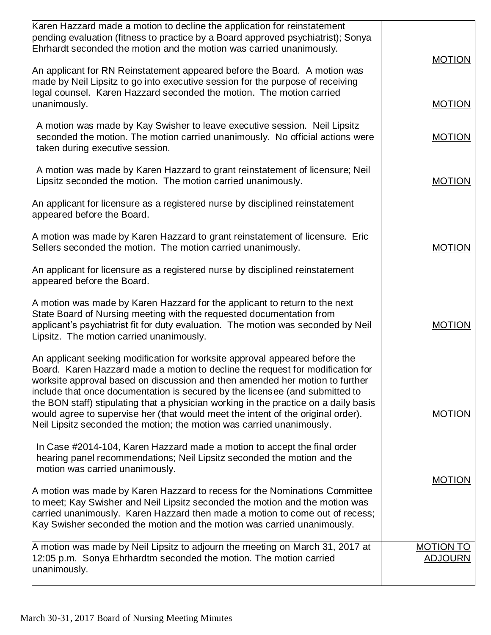| Karen Hazzard made a motion to decline the application for reinstatement<br>pending evaluation (fitness to practice by a Board approved psychiatrist); Sonya<br>Ehrhardt seconded the motion and the motion was carried unanimously.                                                                                                                                                                                                                                                                                                                                               | <b>MOTION</b>                      |
|------------------------------------------------------------------------------------------------------------------------------------------------------------------------------------------------------------------------------------------------------------------------------------------------------------------------------------------------------------------------------------------------------------------------------------------------------------------------------------------------------------------------------------------------------------------------------------|------------------------------------|
| An applicant for RN Reinstatement appeared before the Board. A motion was<br>made by Neil Lipsitz to go into executive session for the purpose of receiving<br>legal counsel. Karen Hazzard seconded the motion. The motion carried                                                                                                                                                                                                                                                                                                                                                |                                    |
| unanimously.                                                                                                                                                                                                                                                                                                                                                                                                                                                                                                                                                                       | <b>MOTION</b>                      |
| A motion was made by Kay Swisher to leave executive session. Neil Lipsitz<br>seconded the motion. The motion carried unanimously. No official actions were<br>taken during executive session.                                                                                                                                                                                                                                                                                                                                                                                      | <b>MOTION</b>                      |
| A motion was made by Karen Hazzard to grant reinstatement of licensure; Neil<br>Lipsitz seconded the motion. The motion carried unanimously.                                                                                                                                                                                                                                                                                                                                                                                                                                       | <b>MOTION</b>                      |
| An applicant for licensure as a registered nurse by disciplined reinstatement<br>appeared before the Board.                                                                                                                                                                                                                                                                                                                                                                                                                                                                        |                                    |
| A motion was made by Karen Hazzard to grant reinstatement of licensure. Eric<br>Sellers seconded the motion. The motion carried unanimously.                                                                                                                                                                                                                                                                                                                                                                                                                                       | <b>MOTION</b>                      |
| An applicant for licensure as a registered nurse by disciplined reinstatement<br>appeared before the Board.                                                                                                                                                                                                                                                                                                                                                                                                                                                                        |                                    |
| A motion was made by Karen Hazzard for the applicant to return to the next<br>State Board of Nursing meeting with the requested documentation from<br>applicant's psychiatrist fit for duty evaluation. The motion was seconded by Neil<br>Lipsitz. The motion carried unanimously.                                                                                                                                                                                                                                                                                                | <b>MOTION</b>                      |
| An applicant seeking modification for worksite approval appeared before the<br>Board. Karen Hazzard made a motion to decline the request for modification for<br>worksite approval based on discussion and then amended her motion to further<br>include that once documentation is secured by the licensee (and submitted to<br>the BON staff) stipulating that a physician working in the practice on a daily basis<br>would agree to supervise her (that would meet the intent of the original order).<br>Neil Lipsitz seconded the motion; the motion was carried unanimously. | <b>MOTION</b>                      |
| In Case #2014-104, Karen Hazzard made a motion to accept the final order<br>hearing panel recommendations; Neil Lipsitz seconded the motion and the<br>motion was carried unanimously.                                                                                                                                                                                                                                                                                                                                                                                             |                                    |
| A motion was made by Karen Hazzard to recess for the Nominations Committee<br>to meet; Kay Swisher and Neil Lipsitz seconded the motion and the motion was<br>carried unanimously. Karen Hazzard then made a motion to come out of recess;<br>Kay Swisher seconded the motion and the motion was carried unanimously.                                                                                                                                                                                                                                                              | <b>MOTION</b>                      |
| A motion was made by Neil Lipsitz to adjourn the meeting on March 31, 2017 at<br>12:05 p.m. Sonya Ehrhardtm seconded the motion. The motion carried<br>unanimously.                                                                                                                                                                                                                                                                                                                                                                                                                | <b>MOTION TO</b><br><b>ADJOURN</b> |